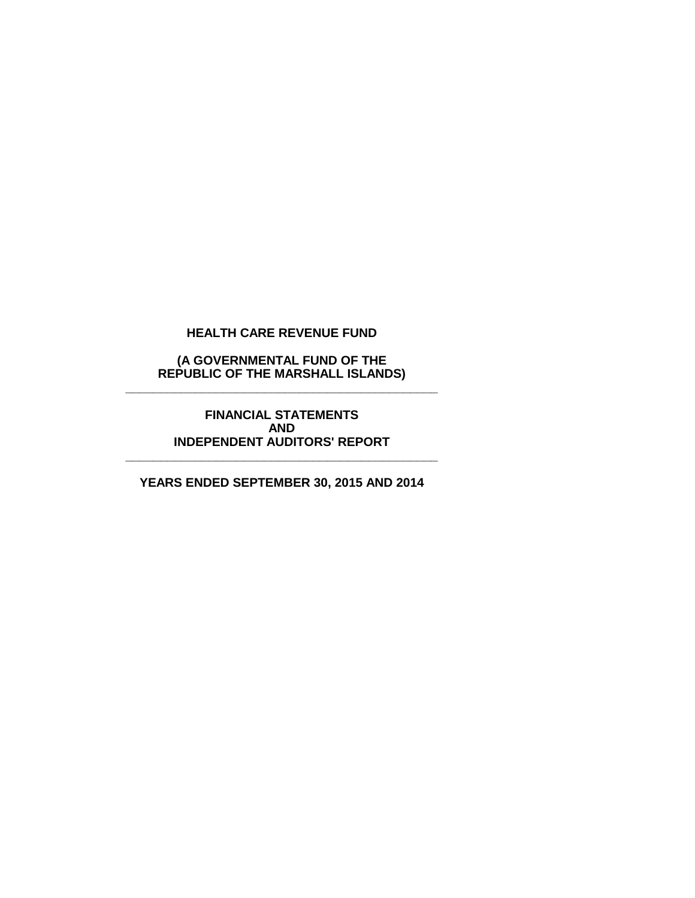**(A GOVERNMENTAL FUND OF THE REPUBLIC OF THE MARSHALL ISLANDS) \_\_\_\_\_\_\_\_\_\_\_\_\_\_\_\_\_\_\_\_\_\_\_\_\_\_\_\_\_\_\_\_\_\_\_\_\_\_\_\_\_\_\_\_\_**

> **FINANCIAL STATEMENTS AND INDEPENDENT AUDITORS' REPORT**

**\_\_\_\_\_\_\_\_\_\_\_\_\_\_\_\_\_\_\_\_\_\_\_\_\_\_\_\_\_\_\_\_\_\_\_\_\_\_\_\_\_\_\_\_\_**

**YEARS ENDED SEPTEMBER 30, 2015 AND 2014**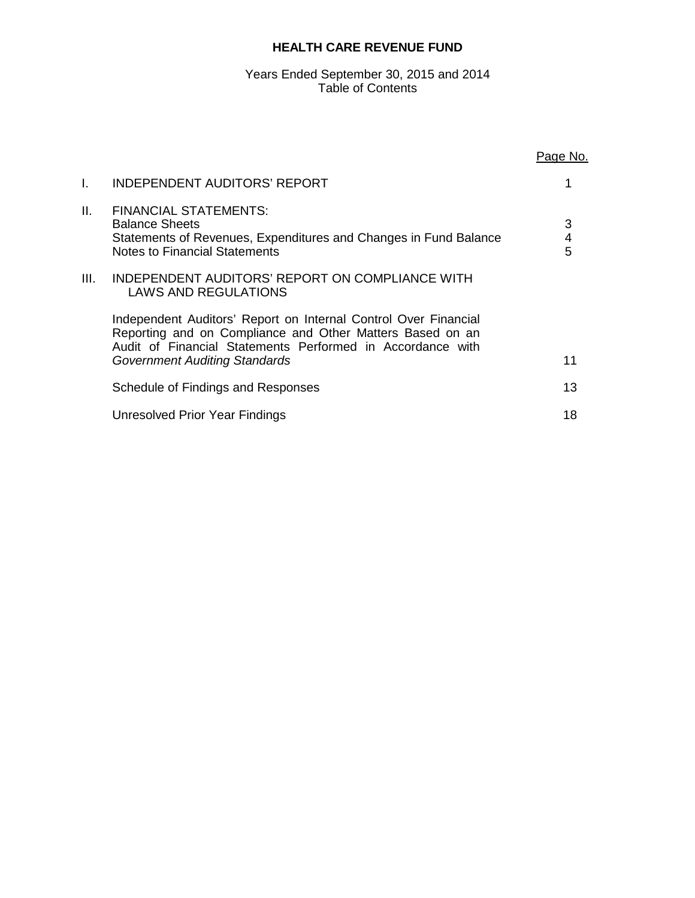# Years Ended September 30, 2015 and 2014 Table of Contents

|     |                                                                                                                                                                                                                                    | Page No.    |
|-----|------------------------------------------------------------------------------------------------------------------------------------------------------------------------------------------------------------------------------------|-------------|
| I.  | INDEPENDENT AUDITORS' REPORT                                                                                                                                                                                                       |             |
| II. | <b>FINANCIAL STATEMENTS:</b><br><b>Balance Sheets</b><br>Statements of Revenues, Expenditures and Changes in Fund Balance<br><b>Notes to Financial Statements</b>                                                                  | 3<br>4<br>5 |
| Ш.  | INDEPENDENT AUDITORS' REPORT ON COMPLIANCE WITH<br>LAWS AND REGULATIONS                                                                                                                                                            |             |
|     | Independent Auditors' Report on Internal Control Over Financial<br>Reporting and on Compliance and Other Matters Based on an<br>Audit of Financial Statements Performed in Accordance with<br><b>Government Auditing Standards</b> | 11          |
|     | Schedule of Findings and Responses                                                                                                                                                                                                 | 13          |
|     |                                                                                                                                                                                                                                    |             |
|     | Unresolved Prior Year Findings                                                                                                                                                                                                     | 18          |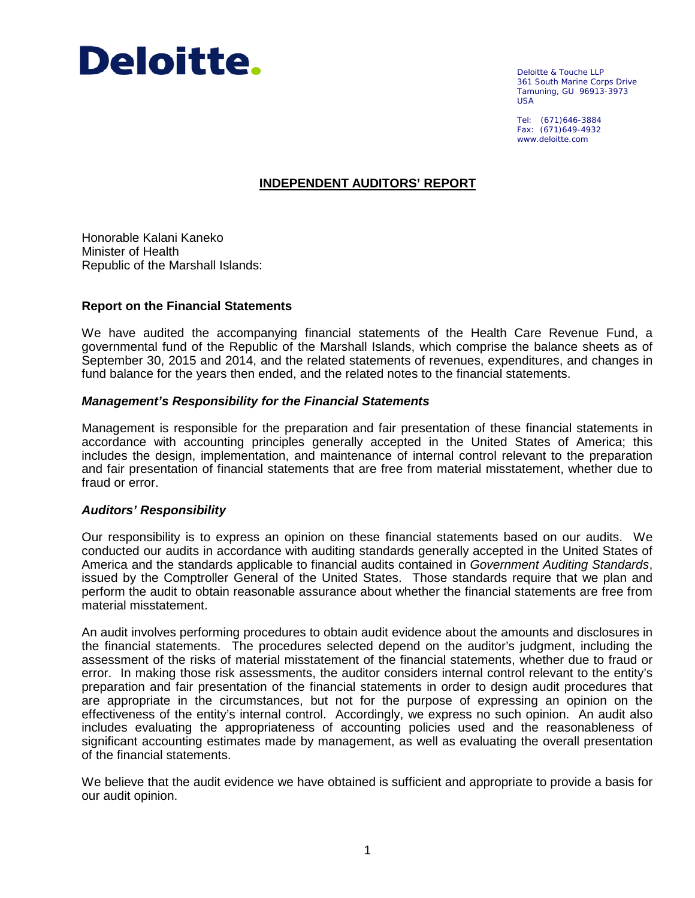

Deloitte & Touche LLP 361 South Marine Corps Drive Tamuning, GU 96913-3973 USA

Tel: (671)646-3884 Fax: (671)649-4932 www.deloitte.com

# **INDEPENDENT AUDITORS' REPORT**

Honorable Kalani Kaneko Minister of Health Republic of the Marshall Islands:

### **Report on the Financial Statements**

We have audited the accompanying financial statements of the Health Care Revenue Fund, a governmental fund of the Republic of the Marshall Islands, which comprise the balance sheets as of September 30, 2015 and 2014, and the related statements of revenues, expenditures, and changes in fund balance for the years then ended, and the related notes to the financial statements.

### *Management's Responsibility for the Financial Statements*

Management is responsible for the preparation and fair presentation of these financial statements in accordance with accounting principles generally accepted in the United States of America; this includes the design, implementation, and maintenance of internal control relevant to the preparation and fair presentation of financial statements that are free from material misstatement, whether due to fraud or error.

#### *Auditors' Responsibility*

Our responsibility is to express an opinion on these financial statements based on our audits. We conducted our audits in accordance with auditing standards generally accepted in the United States of America and the standards applicable to financial audits contained in *Government Auditing Standards*, issued by the Comptroller General of the United States. Those standards require that we plan and perform the audit to obtain reasonable assurance about whether the financial statements are free from material misstatement.

An audit involves performing procedures to obtain audit evidence about the amounts and disclosures in the financial statements. The procedures selected depend on the auditor's judgment, including the assessment of the risks of material misstatement of the financial statements, whether due to fraud or error. In making those risk assessments, the auditor considers internal control relevant to the entity's preparation and fair presentation of the financial statements in order to design audit procedures that are appropriate in the circumstances, but not for the purpose of expressing an opinion on the effectiveness of the entity's internal control. Accordingly, we express no such opinion. An audit also includes evaluating the appropriateness of accounting policies used and the reasonableness of significant accounting estimates made by management, as well as evaluating the overall presentation of the financial statements.

We believe that the audit evidence we have obtained is sufficient and appropriate to provide a basis for our audit opinion.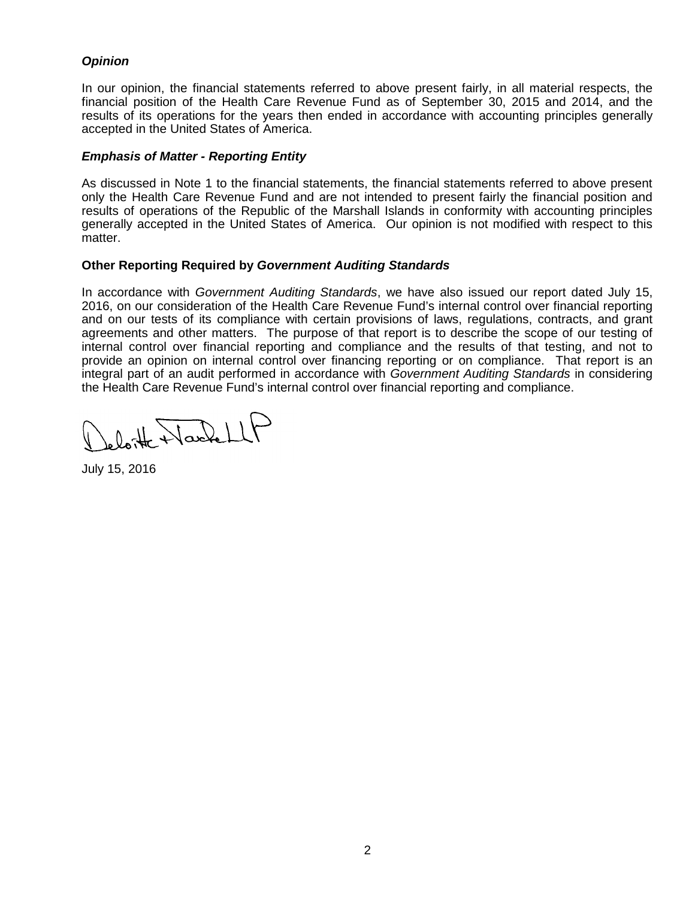# *Opinion*

In our opinion, the financial statements referred to above present fairly, in all material respects, the financial position of the Health Care Revenue Fund as of September 30, 2015 and 2014, and the results of its operations for the years then ended in accordance with accounting principles generally accepted in the United States of America.

# *Emphasis of Matter - Reporting Entity*

As discussed in Note 1 to the financial statements, the financial statements referred to above present only the Health Care Revenue Fund and are not intended to present fairly the financial position and results of operations of the Republic of the Marshall Islands in conformity with accounting principles generally accepted in the United States of America. Our opinion is not modified with respect to this matter.

# **Other Reporting Required by** *Government Auditing Standards*

In accordance with *Government Auditing Standards*, we have also issued our report dated July 15, 2016, on our consideration of the Health Care Revenue Fund's internal control over financial reporting and on our tests of its compliance with certain provisions of laws, regulations, contracts, and grant agreements and other matters. The purpose of that report is to describe the scope of our testing of internal control over financial reporting and compliance and the results of that testing, and not to provide an opinion on internal control over financing reporting or on compliance. That report is an integral part of an audit performed in accordance with *Government Auditing Standards* in considering the Health Care Revenue Fund's internal control over financial reporting and compliance.

lette Harlett

July 15, 2016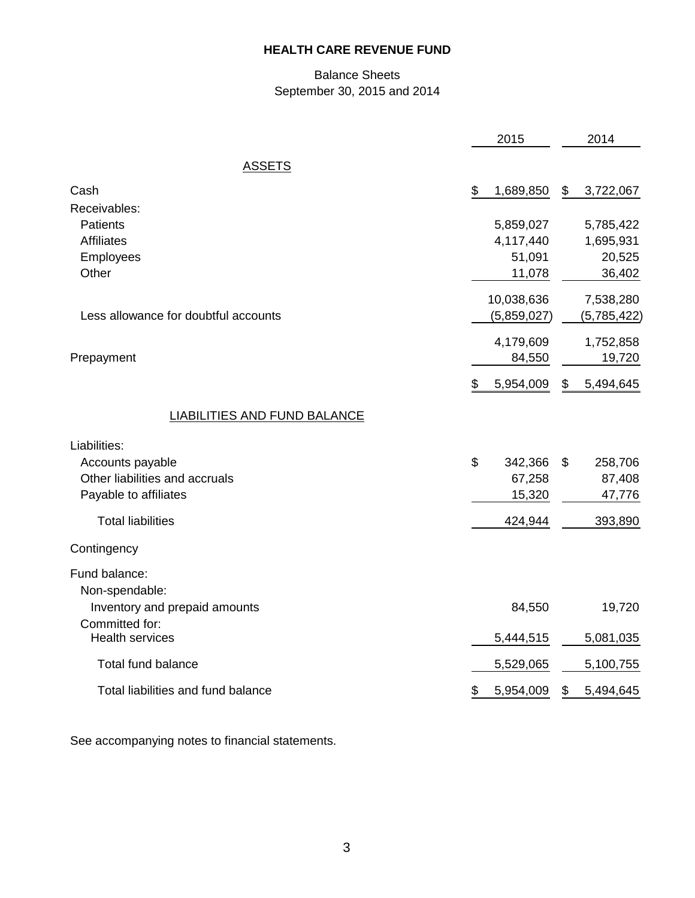# Balance Sheets September 30, 2015 and 2014

|                                                 | 2015            | 2014            |
|-------------------------------------------------|-----------------|-----------------|
| <b>ASSETS</b>                                   |                 |                 |
| Cash                                            | \$<br>1,689,850 | \$<br>3,722,067 |
| Receivables:                                    |                 |                 |
| Patients                                        | 5,859,027       | 5,785,422       |
| <b>Affiliates</b>                               | 4,117,440       | 1,695,931       |
| Employees                                       | 51,091          | 20,525          |
| Other                                           | 11,078          | 36,402          |
|                                                 | 10,038,636      | 7,538,280       |
| Less allowance for doubtful accounts            | (5,859,027)     | (5,785,422)     |
|                                                 | 4,179,609       | 1,752,858       |
| Prepayment                                      | 84,550          | 19,720          |
|                                                 | \$<br>5,954,009 | 5,494,645<br>\$ |
| <b>LIABILITIES AND FUND BALANCE</b>             |                 |                 |
| Liabilities:                                    |                 |                 |
| Accounts payable                                | \$<br>342,366   | \$<br>258,706   |
| Other liabilities and accruals                  | 67,258          | 87,408          |
| Payable to affiliates                           | 15,320          | 47,776          |
| <b>Total liabilities</b>                        | 424,944         | 393,890         |
| Contingency                                     |                 |                 |
| Fund balance:                                   |                 |                 |
| Non-spendable:                                  |                 |                 |
| Inventory and prepaid amounts<br>Committed for: | 84,550          | 19,720          |
| <b>Health services</b>                          | 5,444,515       | 5,081,035       |
| <b>Total fund balance</b>                       | 5,529,065       | 5,100,755       |
| Total liabilities and fund balance              | \$<br>5,954,009 | 5,494,645<br>\$ |
|                                                 |                 |                 |

See accompanying notes to financial statements.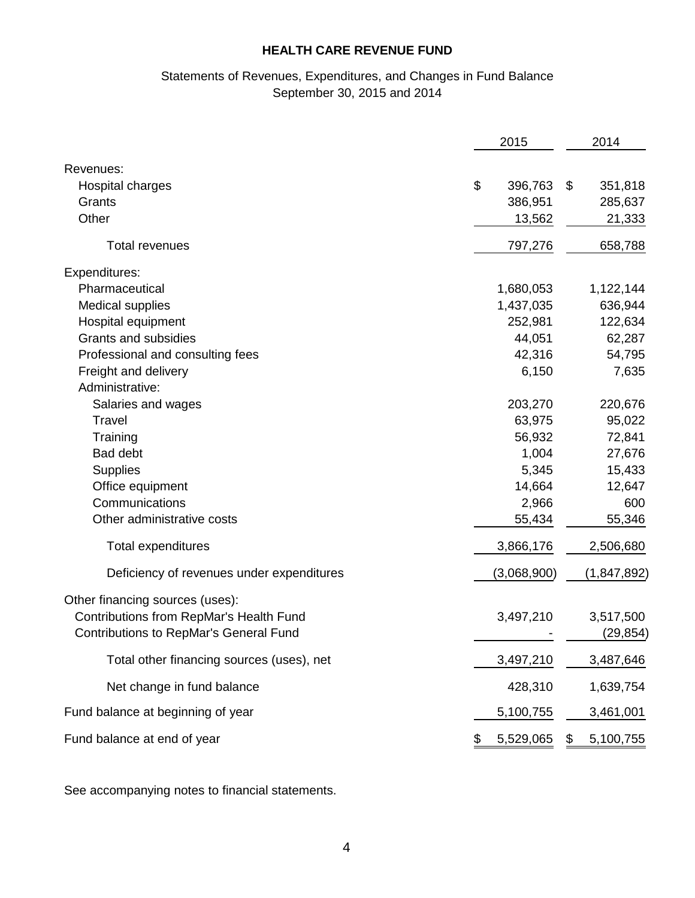# Statements of Revenues, Expenditures, and Changes in Fund Balance September 30, 2015 and 2014

|                                               | 2015            | 2014          |
|-----------------------------------------------|-----------------|---------------|
| Revenues:                                     |                 |               |
| Hospital charges                              | \$<br>396,763   | \$<br>351,818 |
| Grants                                        | 386,951         | 285,637       |
| Other                                         | 13,562          | 21,333        |
| <b>Total revenues</b>                         | 797,276         | 658,788       |
| Expenditures:                                 |                 |               |
| Pharmaceutical                                | 1,680,053       | 1,122,144     |
| <b>Medical supplies</b>                       | 1,437,035       | 636,944       |
| Hospital equipment                            | 252,981         | 122,634       |
| <b>Grants and subsidies</b>                   | 44,051          | 62,287        |
| Professional and consulting fees              | 42,316          | 54,795        |
| Freight and delivery<br>Administrative:       | 6,150           | 7,635         |
| Salaries and wages                            | 203,270         | 220,676       |
| Travel                                        | 63,975          | 95,022        |
| Training                                      | 56,932          | 72,841        |
| Bad debt                                      | 1,004           | 27,676        |
| <b>Supplies</b>                               | 5,345           | 15,433        |
| Office equipment                              | 14,664          | 12,647        |
| Communications                                | 2,966           | 600           |
| Other administrative costs                    | 55,434          | 55,346        |
| <b>Total expenditures</b>                     | 3,866,176       | 2,506,680     |
| Deficiency of revenues under expenditures     | (3,068,900)     | (1, 847, 892) |
| Other financing sources (uses):               |                 |               |
| Contributions from RepMar's Health Fund       | 3,497,210       | 3,517,500     |
| <b>Contributions to RepMar's General Fund</b> |                 | (29,854)      |
| Total other financing sources (uses), net     | 3,497,210       | 3,487,646     |
| Net change in fund balance                    | 428,310         | 1,639,754     |
| Fund balance at beginning of year             | 5,100,755       | 3,461,001     |
| Fund balance at end of year                   | \$<br>5,529,065 | 5,100,755     |

See accompanying notes to financial statements.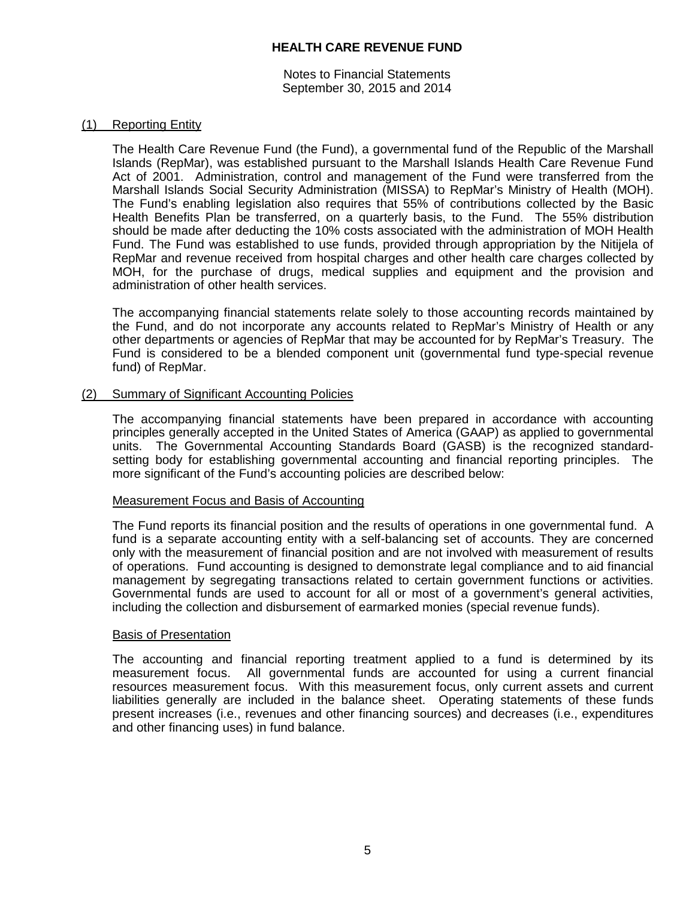Notes to Financial Statements September 30, 2015 and 2014

### (1) Reporting Entity

The Health Care Revenue Fund (the Fund), a governmental fund of the Republic of the Marshall Islands (RepMar), was established pursuant to the Marshall Islands Health Care Revenue Fund Act of 2001. Administration, control and management of the Fund were transferred from the Marshall Islands Social Security Administration (MISSA) to RepMar's Ministry of Health (MOH). The Fund's enabling legislation also requires that 55% of contributions collected by the Basic Health Benefits Plan be transferred, on a quarterly basis, to the Fund. The 55% distribution should be made after deducting the 10% costs associated with the administration of MOH Health Fund. The Fund was established to use funds, provided through appropriation by the Nitijela of RepMar and revenue received from hospital charges and other health care charges collected by MOH, for the purchase of drugs, medical supplies and equipment and the provision and administration of other health services.

The accompanying financial statements relate solely to those accounting records maintained by the Fund, and do not incorporate any accounts related to RepMar's Ministry of Health or any other departments or agencies of RepMar that may be accounted for by RepMar's Treasury. The Fund is considered to be a blended component unit (governmental fund type-special revenue fund) of RepMar.

### (2) Summary of Significant Accounting Policies

The accompanying financial statements have been prepared in accordance with accounting principles generally accepted in the United States of America (GAAP) as applied to governmental units. The Governmental Accounting Standards Board (GASB) is the recognized standardsetting body for establishing governmental accounting and financial reporting principles. The more significant of the Fund's accounting policies are described below:

# Measurement Focus and Basis of Accounting

The Fund reports its financial position and the results of operations in one governmental fund. A fund is a separate accounting entity with a self-balancing set of accounts. They are concerned only with the measurement of financial position and are not involved with measurement of results of operations. Fund accounting is designed to demonstrate legal compliance and to aid financial management by segregating transactions related to certain government functions or activities. Governmental funds are used to account for all or most of a government's general activities, including the collection and disbursement of earmarked monies (special revenue funds).

#### Basis of Presentation

The accounting and financial reporting treatment applied to a fund is determined by its measurement focus. All governmental funds are accounted for using a current financial resources measurement focus. With this measurement focus, only current assets and current liabilities generally are included in the balance sheet. Operating statements of these funds present increases (i.e., revenues and other financing sources) and decreases (i.e., expenditures and other financing uses) in fund balance.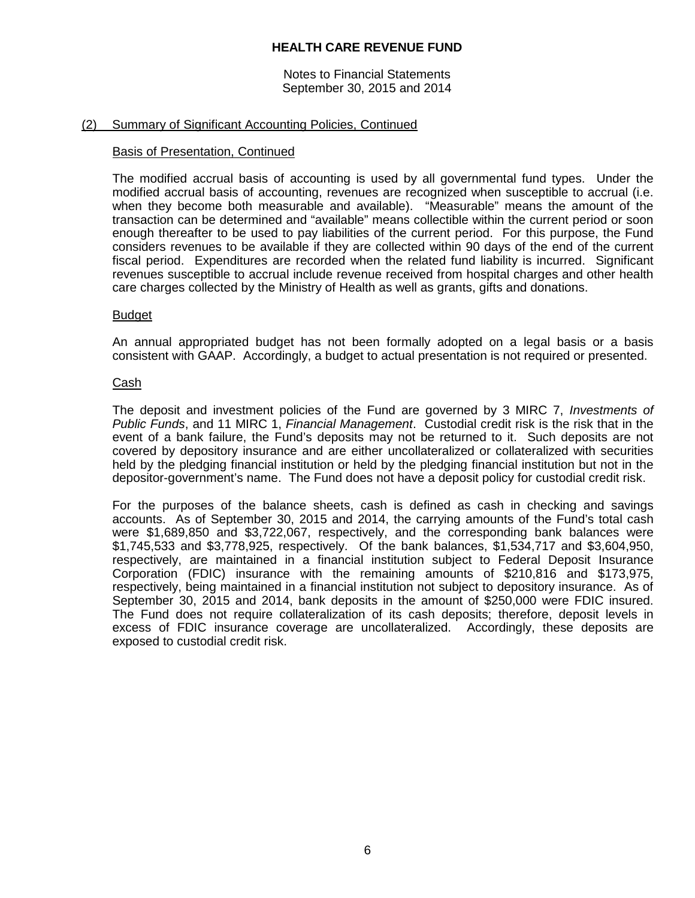Notes to Financial Statements September 30, 2015 and 2014

# (2) Summary of Significant Accounting Policies, Continued

# Basis of Presentation, Continued

The modified accrual basis of accounting is used by all governmental fund types. Under the modified accrual basis of accounting, revenues are recognized when susceptible to accrual (i.e. when they become both measurable and available). "Measurable" means the amount of the transaction can be determined and "available" means collectible within the current period or soon enough thereafter to be used to pay liabilities of the current period. For this purpose, the Fund considers revenues to be available if they are collected within 90 days of the end of the current fiscal period. Expenditures are recorded when the related fund liability is incurred. Significant revenues susceptible to accrual include revenue received from hospital charges and other health care charges collected by the Ministry of Health as well as grants, gifts and donations.

# Budget

An annual appropriated budget has not been formally adopted on a legal basis or a basis consistent with GAAP. Accordingly, a budget to actual presentation is not required or presented.

# Cash

The deposit and investment policies of the Fund are governed by 3 MIRC 7, *Investments of Public Funds*, and 11 MIRC 1, *Financial Management*. Custodial credit risk is the risk that in the event of a bank failure, the Fund's deposits may not be returned to it. Such deposits are not covered by depository insurance and are either uncollateralized or collateralized with securities held by the pledging financial institution or held by the pledging financial institution but not in the depositor-government's name. The Fund does not have a deposit policy for custodial credit risk.

For the purposes of the balance sheets, cash is defined as cash in checking and savings accounts. As of September 30, 2015 and 2014, the carrying amounts of the Fund's total cash were \$1,689,850 and \$3,722,067, respectively, and the corresponding bank balances were \$1,745,533 and \$3,778,925, respectively. Of the bank balances, \$1,534,717 and \$3,604,950, respectively, are maintained in a financial institution subject to Federal Deposit Insurance Corporation (FDIC) insurance with the remaining amounts of \$210,816 and \$173,975, respectively, being maintained in a financial institution not subject to depository insurance. As of September 30, 2015 and 2014, bank deposits in the amount of \$250,000 were FDIC insured. The Fund does not require collateralization of its cash deposits; therefore, deposit levels in excess of FDIC insurance coverage are uncollateralized. Accordingly, these deposits are exposed to custodial credit risk.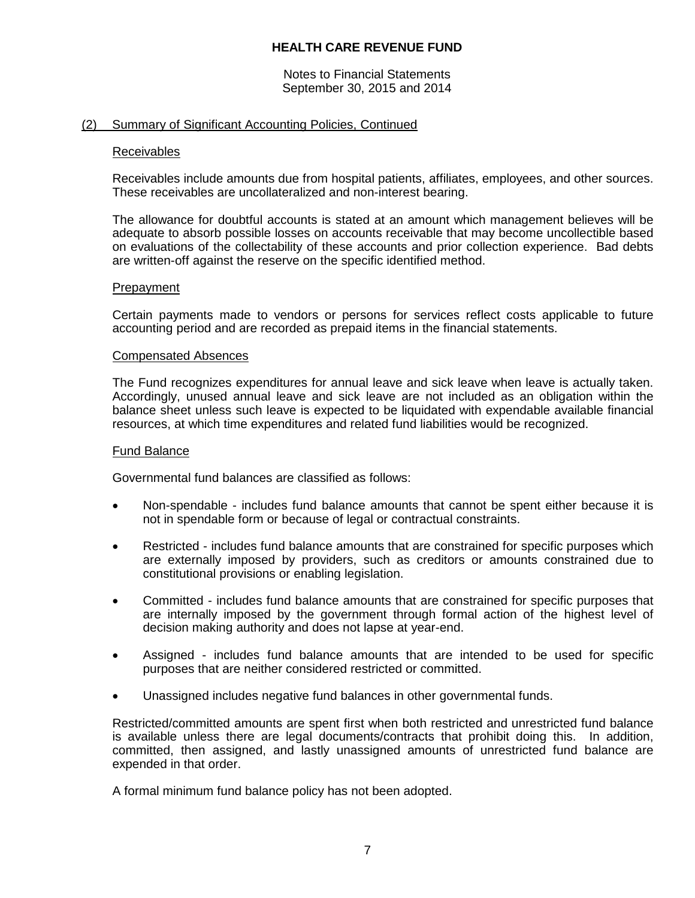Notes to Financial Statements September 30, 2015 and 2014

# (2) Summary of Significant Accounting Policies, Continued

### Receivables

Receivables include amounts due from hospital patients, affiliates, employees, and other sources. These receivables are uncollateralized and non-interest bearing.

The allowance for doubtful accounts is stated at an amount which management believes will be adequate to absorb possible losses on accounts receivable that may become uncollectible based on evaluations of the collectability of these accounts and prior collection experience. Bad debts are written-off against the reserve on the specific identified method.

### Prepayment

Certain payments made to vendors or persons for services reflect costs applicable to future accounting period and are recorded as prepaid items in the financial statements.

### Compensated Absences

The Fund recognizes expenditures for annual leave and sick leave when leave is actually taken. Accordingly, unused annual leave and sick leave are not included as an obligation within the balance sheet unless such leave is expected to be liquidated with expendable available financial resources, at which time expenditures and related fund liabilities would be recognized.

#### Fund Balance

Governmental fund balances are classified as follows:

- Non-spendable includes fund balance amounts that cannot be spent either because it is not in spendable form or because of legal or contractual constraints.
- Restricted includes fund balance amounts that are constrained for specific purposes which are externally imposed by providers, such as creditors or amounts constrained due to constitutional provisions or enabling legislation.
- Committed includes fund balance amounts that are constrained for specific purposes that are internally imposed by the government through formal action of the highest level of decision making authority and does not lapse at year-end.
- Assigned includes fund balance amounts that are intended to be used for specific purposes that are neither considered restricted or committed.
- Unassigned includes negative fund balances in other governmental funds.

Restricted/committed amounts are spent first when both restricted and unrestricted fund balance is available unless there are legal documents/contracts that prohibit doing this. In addition, committed, then assigned, and lastly unassigned amounts of unrestricted fund balance are expended in that order.

A formal minimum fund balance policy has not been adopted.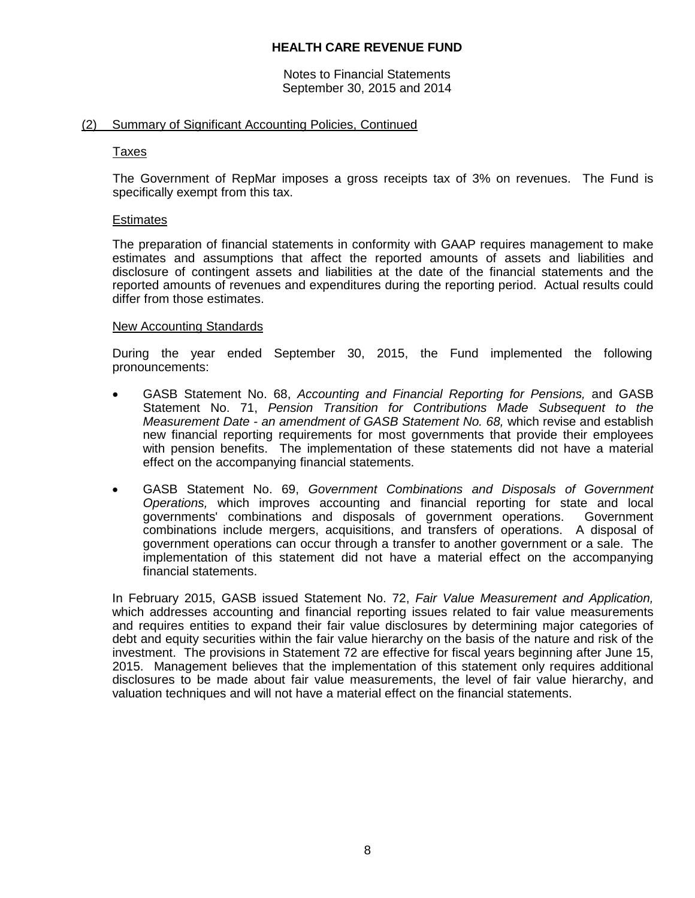Notes to Financial Statements September 30, 2015 and 2014

# (2) Summary of Significant Accounting Policies, Continued

### Taxes

The Government of RepMar imposes a gross receipts tax of 3% on revenues. The Fund is specifically exempt from this tax.

### **Estimates**

The preparation of financial statements in conformity with GAAP requires management to make estimates and assumptions that affect the reported amounts of assets and liabilities and disclosure of contingent assets and liabilities at the date of the financial statements and the reported amounts of revenues and expenditures during the reporting period. Actual results could differ from those estimates.

### New Accounting Standards

During the year ended September 30, 2015, the Fund implemented the following pronouncements:

- GASB Statement No. 68, *Accounting and Financial Reporting for Pensions,* and GASB Statement No. 71, *Pension Transition for Contributions Made Subsequent to the Measurement Date - an amendment of GASB Statement No. 68,* which revise and establish new financial reporting requirements for most governments that provide their employees with pension benefits. The implementation of these statements did not have a material effect on the accompanying financial statements.
- GASB Statement No. 69, *Government Combinations and Disposals of Government Operations,* which improves accounting and financial reporting for state and local governments' combinations and disposals of government operations. Government combinations include mergers, acquisitions, and transfers of operations. A disposal of government operations can occur through a transfer to another government or a sale. The implementation of this statement did not have a material effect on the accompanying financial statements.

In February 2015, GASB issued Statement No. 72, *Fair Value Measurement and Application,*  which addresses accounting and financial reporting issues related to fair value measurements and requires entities to expand their fair value disclosures by determining major categories of debt and equity securities within the fair value hierarchy on the basis of the nature and risk of the investment. The provisions in Statement 72 are effective for fiscal years beginning after June 15, 2015. Management believes that the implementation of this statement only requires additional disclosures to be made about fair value measurements, the level of fair value hierarchy, and valuation techniques and will not have a material effect on the financial statements.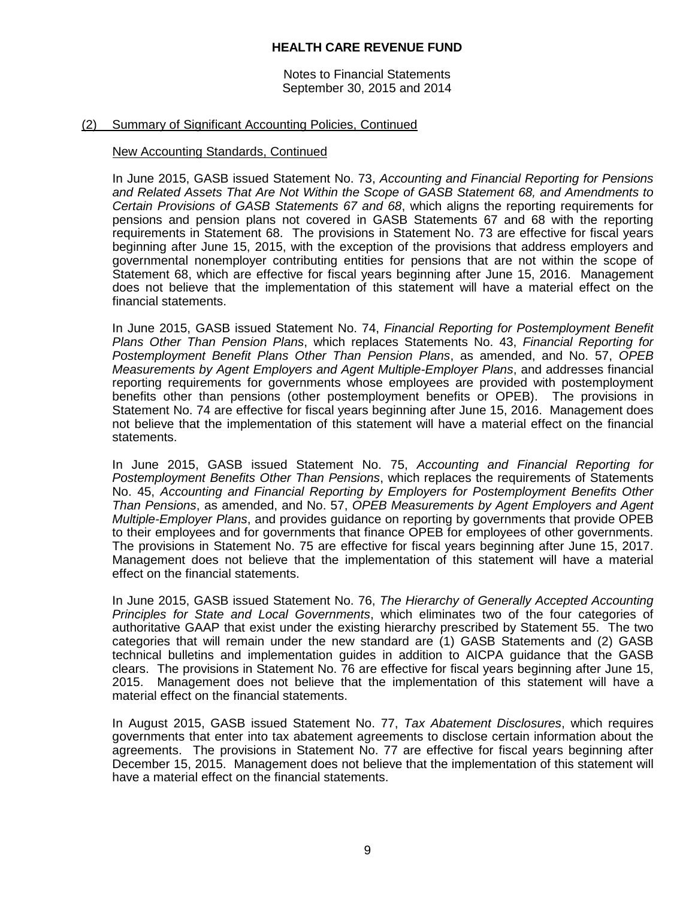Notes to Financial Statements September 30, 2015 and 2014

# (2) Summary of Significant Accounting Policies, Continued

#### New Accounting Standards, Continued

In June 2015, GASB issued Statement No. 73, *Accounting and Financial Reporting for Pensions and Related Assets That Are Not Within the Scope of GASB Statement 68, and Amendments to Certain Provisions of GASB Statements 67 and 68*, which aligns the reporting requirements for pensions and pension plans not covered in GASB Statements 67 and 68 with the reporting requirements in Statement 68. The provisions in Statement No. 73 are effective for fiscal years beginning after June 15, 2015, with the exception of the provisions that address employers and governmental nonemployer contributing entities for pensions that are not within the scope of Statement 68, which are effective for fiscal years beginning after June 15, 2016. Management does not believe that the implementation of this statement will have a material effect on the financial statements.

In June 2015, GASB issued Statement No. 74, *Financial Reporting for Postemployment Benefit Plans Other Than Pension Plans*, which replaces Statements No. 43, *Financial Reporting for Postemployment Benefit Plans Other Than Pension Plans*, as amended, and No. 57, *OPEB Measurements by Agent Employers and Agent Multiple-Employer Plans*, and addresses financial reporting requirements for governments whose employees are provided with postemployment benefits other than pensions (other postemployment benefits or OPEB). The provisions in Statement No. 74 are effective for fiscal years beginning after June 15, 2016. Management does not believe that the implementation of this statement will have a material effect on the financial statements.

In June 2015, GASB issued Statement No. 75, *Accounting and Financial Reporting for Postemployment Benefits Other Than Pensions*, which replaces the requirements of Statements No. 45, *Accounting and Financial Reporting by Employers for Postemployment Benefits Other Than Pensions*, as amended, and No. 57, *OPEB Measurements by Agent Employers and Agent Multiple-Employer Plans*, and provides guidance on reporting by governments that provide OPEB to their employees and for governments that finance OPEB for employees of other governments. The provisions in Statement No. 75 are effective for fiscal years beginning after June 15, 2017. Management does not believe that the implementation of this statement will have a material effect on the financial statements.

In June 2015, GASB issued Statement No. 76, *The Hierarchy of Generally Accepted Accounting Principles for State and Local Governments*, which eliminates two of the four categories of authoritative GAAP that exist under the existing hierarchy prescribed by Statement 55. The two categories that will remain under the new standard are (1) GASB Statements and (2) GASB technical bulletins and implementation guides in addition to AICPA guidance that the GASB clears. The provisions in Statement No. 76 are effective for fiscal years beginning after June 15, 2015. Management does not believe that the implementation of this statement will have a material effect on the financial statements.

In August 2015, GASB issued Statement No. 77, *Tax Abatement Disclosures*, which requires governments that enter into tax abatement agreements to disclose certain information about the agreements. The provisions in Statement No. 77 are effective for fiscal years beginning after December 15, 2015. Management does not believe that the implementation of this statement will have a material effect on the financial statements.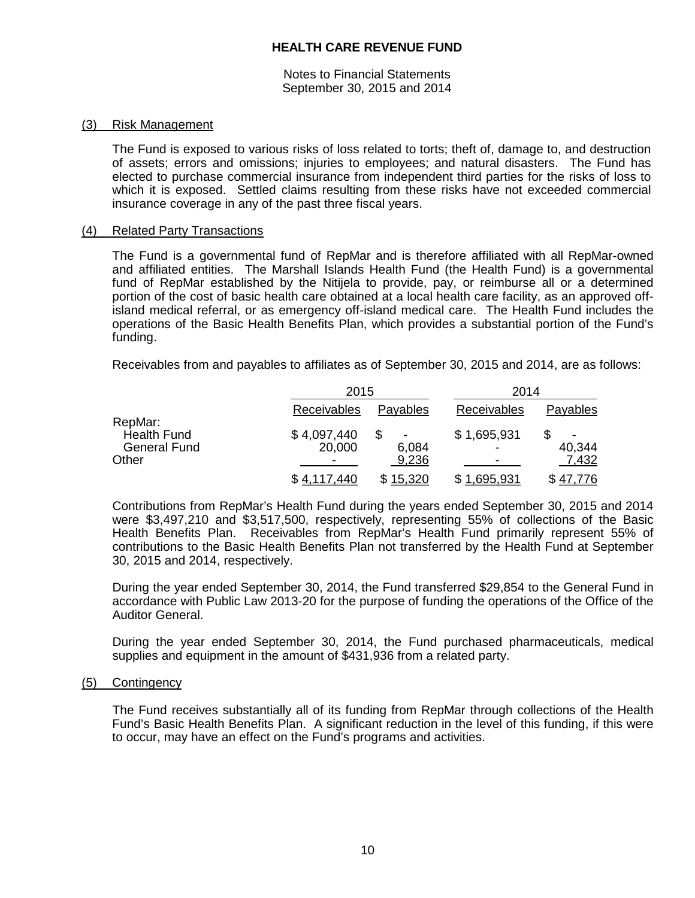Notes to Financial Statements September 30, 2015 and 2014

### (3) Risk Management

The Fund is exposed to various risks of loss related to torts; theft of, damage to, and destruction of assets; errors and omissions; injuries to employees; and natural disasters. The Fund has elected to purchase commercial insurance from independent third parties for the risks of loss to which it is exposed. Settled claims resulting from these risks have not exceeded commercial insurance coverage in any of the past three fiscal years.

### (4) Related Party Transactions

The Fund is a governmental fund of RepMar and is therefore affiliated with all RepMar-owned and affiliated entities. The Marshall Islands Health Fund (the Health Fund) is a governmental fund of RepMar established by the Nitijela to provide, pay, or reimburse all or a determined portion of the cost of basic health care obtained at a local health care facility, as an approved offisland medical referral, or as emergency off-island medical care. The Health Fund includes the operations of the Basic Health Benefits Plan, which provides a substantial portion of the Fund's funding.

Receivables from and payables to affiliates as of September 30, 2015 and 2014, are as follows:

|                                                               |                       | 2015           |                    | 2014              |  |
|---------------------------------------------------------------|-----------------------|----------------|--------------------|-------------------|--|
|                                                               | Receivables           | Payables       | <b>Receivables</b> | Payables          |  |
| RepMar:<br><b>Health Fund</b><br><b>General Fund</b><br>Other | \$4,097,440<br>20,000 | 6,084<br>9,236 | \$1,695,931        | 40,344            |  |
|                                                               | \$4,117,440           | \$15,320       | \$1,695,931        | 7,432<br>\$47,776 |  |

Contributions from RepMar's Health Fund during the years ended September 30, 2015 and 2014 were \$3,497,210 and \$3,517,500, respectively, representing 55% of collections of the Basic Health Benefits Plan. Receivables from RepMar's Health Fund primarily represent 55% of contributions to the Basic Health Benefits Plan not transferred by the Health Fund at September 30, 2015 and 2014, respectively.

During the year ended September 30, 2014, the Fund transferred \$29,854 to the General Fund in accordance with Public Law 2013-20 for the purpose of funding the operations of the Office of the Auditor General.

During the year ended September 30, 2014, the Fund purchased pharmaceuticals, medical supplies and equipment in the amount of \$431,936 from a related party.

# (5) Contingency

The Fund receives substantially all of its funding from RepMar through collections of the Health Fund's Basic Health Benefits Plan. A significant reduction in the level of this funding, if this were to occur, may have an effect on the Fund's programs and activities.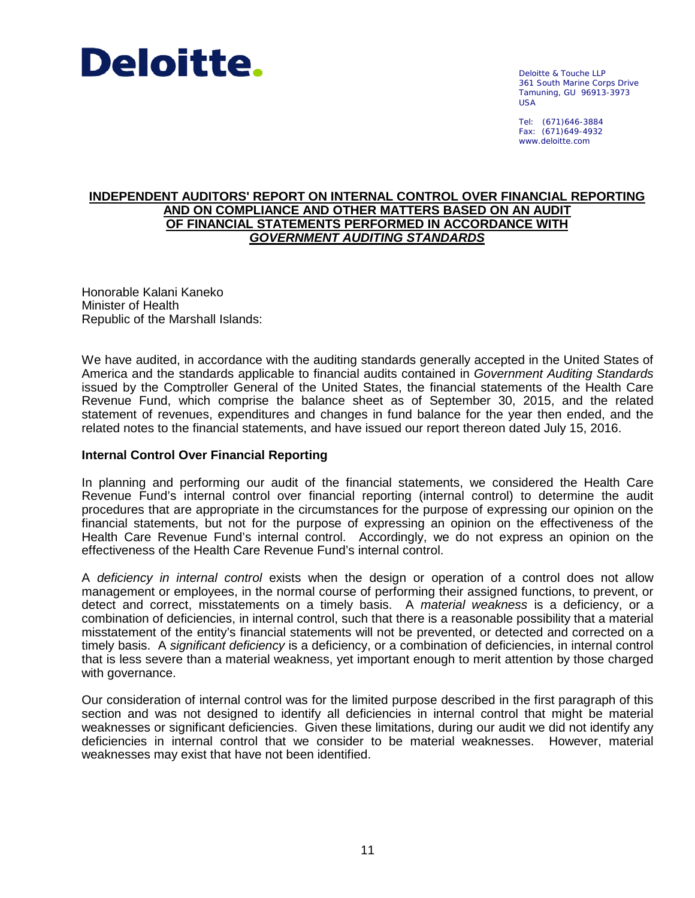

Deloitte & Touche LLP 361 South Marine Corps Drive Tamuning, GU 96913-3973 USA

Tel: (671)646-3884 Fax: (671)649-4932 www.deloitte.com

# **INDEPENDENT AUDITORS' REPORT ON INTERNAL CONTROL OVER FINANCIAL REPORTING AND ON COMPLIANCE AND OTHER MATTERS BASED ON AN AUDIT OF FINANCIAL STATEMENTS PERFORMED IN ACCORDANCE WITH** *GOVERNMENT AUDITING STANDARDS*

Honorable Kalani Kaneko Minister of Health Republic of the Marshall Islands:

We have audited, in accordance with the auditing standards generally accepted in the United States of America and the standards applicable to financial audits contained in *Government Auditing Standards* issued by the Comptroller General of the United States, the financial statements of the Health Care Revenue Fund, which comprise the balance sheet as of September 30, 2015, and the related statement of revenues, expenditures and changes in fund balance for the year then ended, and the related notes to the financial statements, and have issued our report thereon dated July 15, 2016.

# **Internal Control Over Financial Reporting**

In planning and performing our audit of the financial statements, we considered the Health Care Revenue Fund's internal control over financial reporting (internal control) to determine the audit procedures that are appropriate in the circumstances for the purpose of expressing our opinion on the financial statements, but not for the purpose of expressing an opinion on the effectiveness of the Health Care Revenue Fund's internal control. Accordingly, we do not express an opinion on the effectiveness of the Health Care Revenue Fund's internal control.

A *deficiency in internal control* exists when the design or operation of a control does not allow management or employees, in the normal course of performing their assigned functions, to prevent, or detect and correct, misstatements on a timely basis. A *material weakness* is a deficiency, or a combination of deficiencies, in internal control, such that there is a reasonable possibility that a material misstatement of the entity's financial statements will not be prevented, or detected and corrected on a timely basis. A *significant deficiency* is a deficiency, or a combination of deficiencies, in internal control that is less severe than a material weakness, yet important enough to merit attention by those charged with governance.

Our consideration of internal control was for the limited purpose described in the first paragraph of this section and was not designed to identify all deficiencies in internal control that might be material weaknesses or significant deficiencies. Given these limitations, during our audit we did not identify any deficiencies in internal control that we consider to be material weaknesses. However, material weaknesses may exist that have not been identified.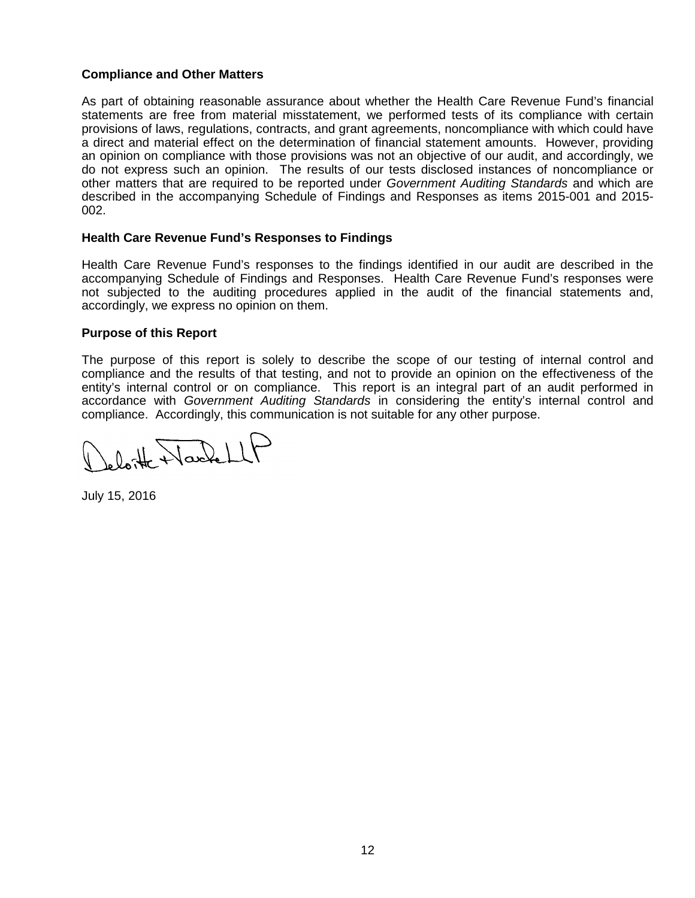# **Compliance and Other Matters**

As part of obtaining reasonable assurance about whether the Health Care Revenue Fund's financial statements are free from material misstatement, we performed tests of its compliance with certain provisions of laws, regulations, contracts, and grant agreements, noncompliance with which could have a direct and material effect on the determination of financial statement amounts. However, providing an opinion on compliance with those provisions was not an objective of our audit, and accordingly, we do not express such an opinion. The results of our tests disclosed instances of noncompliance or other matters that are required to be reported under *Government Auditing Standards* and which are described in the accompanying Schedule of Findings and Responses as items 2015-001 and 2015- 002.

# **Health Care Revenue Fund's Responses to Findings**

Health Care Revenue Fund's responses to the findings identified in our audit are described in the accompanying Schedule of Findings and Responses. Health Care Revenue Fund's responses were not subjected to the auditing procedures applied in the audit of the financial statements and, accordingly, we express no opinion on them.

### **Purpose of this Report**

The purpose of this report is solely to describe the scope of our testing of internal control and compliance and the results of that testing, and not to provide an opinion on the effectiveness of the entity's internal control or on compliance. This report is an integral part of an audit performed in accordance with *Government Auditing Standards* in considering the entity's internal control and compliance. Accordingly, this communication is not suitable for any other purpose.

Dette Nachell

July 15, 2016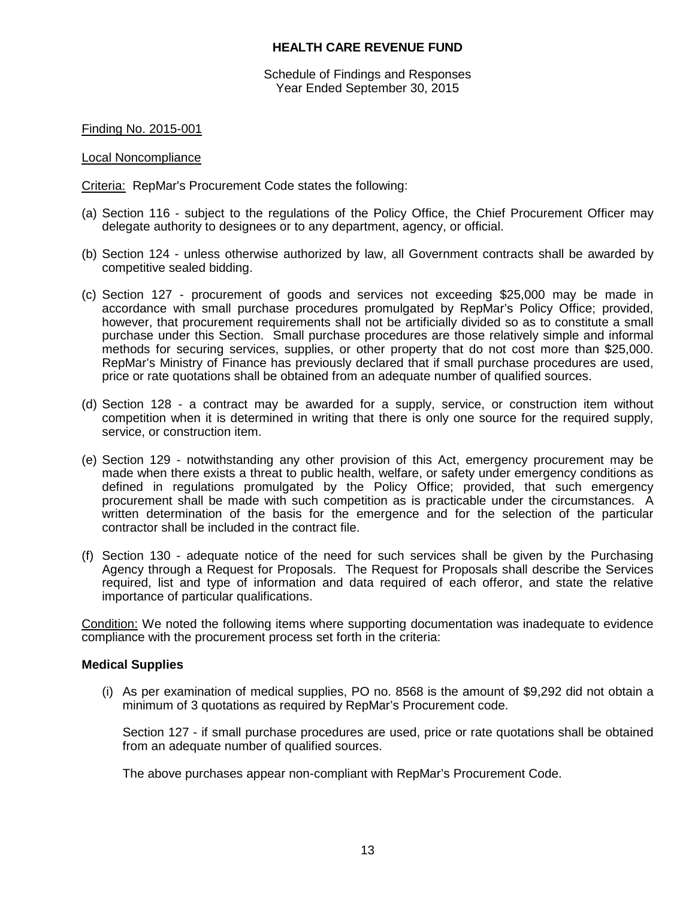Schedule of Findings and Responses Year Ended September 30, 2015

# Finding No. 2015-001

#### Local Noncompliance

Criteria: RepMar's Procurement Code states the following:

- (a) Section 116 subject to the regulations of the Policy Office, the Chief Procurement Officer may delegate authority to designees or to any department, agency, or official.
- (b) Section 124 unless otherwise authorized by law, all Government contracts shall be awarded by competitive sealed bidding.
- (c) Section 127 procurement of goods and services not exceeding \$25,000 may be made in accordance with small purchase procedures promulgated by RepMar's Policy Office; provided, however, that procurement requirements shall not be artificially divided so as to constitute a small purchase under this Section. Small purchase procedures are those relatively simple and informal methods for securing services, supplies, or other property that do not cost more than \$25,000. RepMar's Ministry of Finance has previously declared that if small purchase procedures are used, price or rate quotations shall be obtained from an adequate number of qualified sources.
- (d) Section 128 a contract may be awarded for a supply, service, or construction item without competition when it is determined in writing that there is only one source for the required supply, service, or construction item.
- (e) Section 129 notwithstanding any other provision of this Act, emergency procurement may be made when there exists a threat to public health, welfare, or safety under emergency conditions as defined in regulations promulgated by the Policy Office; provided, that such emergency procurement shall be made with such competition as is practicable under the circumstances. A written determination of the basis for the emergence and for the selection of the particular contractor shall be included in the contract file.
- (f) Section 130 adequate notice of the need for such services shall be given by the Purchasing Agency through a Request for Proposals. The Request for Proposals shall describe the Services required, list and type of information and data required of each offeror, and state the relative importance of particular qualifications.

Condition: We noted the following items where supporting documentation was inadequate to evidence compliance with the procurement process set forth in the criteria:

#### **Medical Supplies**

(i) As per examination of medical supplies, PO no. 8568 is the amount of \$9,292 did not obtain a minimum of 3 quotations as required by RepMar's Procurement code.

Section 127 - if small purchase procedures are used, price or rate quotations shall be obtained from an adequate number of qualified sources.

The above purchases appear non-compliant with RepMar's Procurement Code.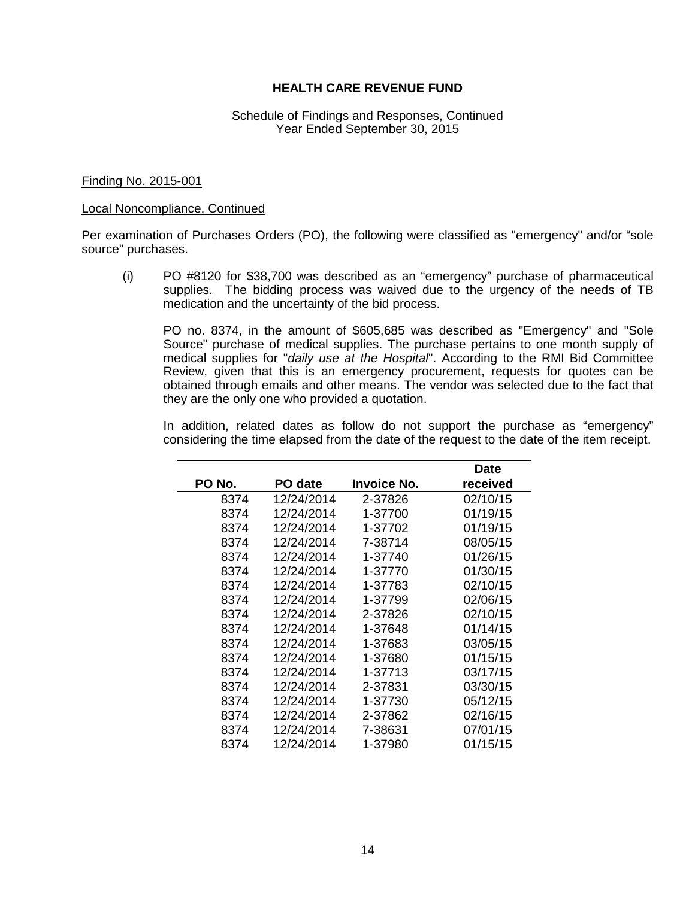# Schedule of Findings and Responses, Continued Year Ended September 30, 2015

# Finding No. 2015-001

#### Local Noncompliance, Continued

Per examination of Purchases Orders (PO), the following were classified as "emergency" and/or "sole source" purchases.

(i) PO #8120 for \$38,700 was described as an "emergency" purchase of pharmaceutical supplies. The bidding process was waived due to the urgency of the needs of TB medication and the uncertainty of the bid process.

PO no. 8374, in the amount of \$605,685 was described as "Emergency" and "Sole Source" purchase of medical supplies. The purchase pertains to one month supply of medical supplies for "*daily use at the Hospital*". According to the RMI Bid Committee Review, given that this is an emergency procurement, requests for quotes can be obtained through emails and other means. The vendor was selected due to the fact that they are the only one who provided a quotation.

In addition, related dates as follow do not support the purchase as "emergency" considering the time elapsed from the date of the request to the date of the item receipt.

|        |            |                    | Date     |
|--------|------------|--------------------|----------|
| PO No. | PO date    | <b>Invoice No.</b> | received |
| 8374   | 12/24/2014 | 2-37826            | 02/10/15 |
| 8374   | 12/24/2014 | 1-37700            | 01/19/15 |
| 8374   | 12/24/2014 | 1-37702            | 01/19/15 |
| 8374   | 12/24/2014 | 7-38714            | 08/05/15 |
| 8374   | 12/24/2014 | 1-37740            | 01/26/15 |
| 8374   | 12/24/2014 | 1-37770            | 01/30/15 |
| 8374   | 12/24/2014 | 1-37783            | 02/10/15 |
| 8374   | 12/24/2014 | 1-37799            | 02/06/15 |
| 8374   | 12/24/2014 | 2-37826            | 02/10/15 |
| 8374   | 12/24/2014 | 1-37648            | 01/14/15 |
| 8374   | 12/24/2014 | 1-37683            | 03/05/15 |
| 8374   | 12/24/2014 | 1-37680            | 01/15/15 |
| 8374   | 12/24/2014 | 1-37713            | 03/17/15 |
| 8374   | 12/24/2014 | 2-37831            | 03/30/15 |
| 8374   | 12/24/2014 | 1-37730            | 05/12/15 |
| 8374   | 12/24/2014 | 2-37862            | 02/16/15 |
| 8374   | 12/24/2014 | 7-38631            | 07/01/15 |
| 8374   | 12/24/2014 | 1-37980            | 01/15/15 |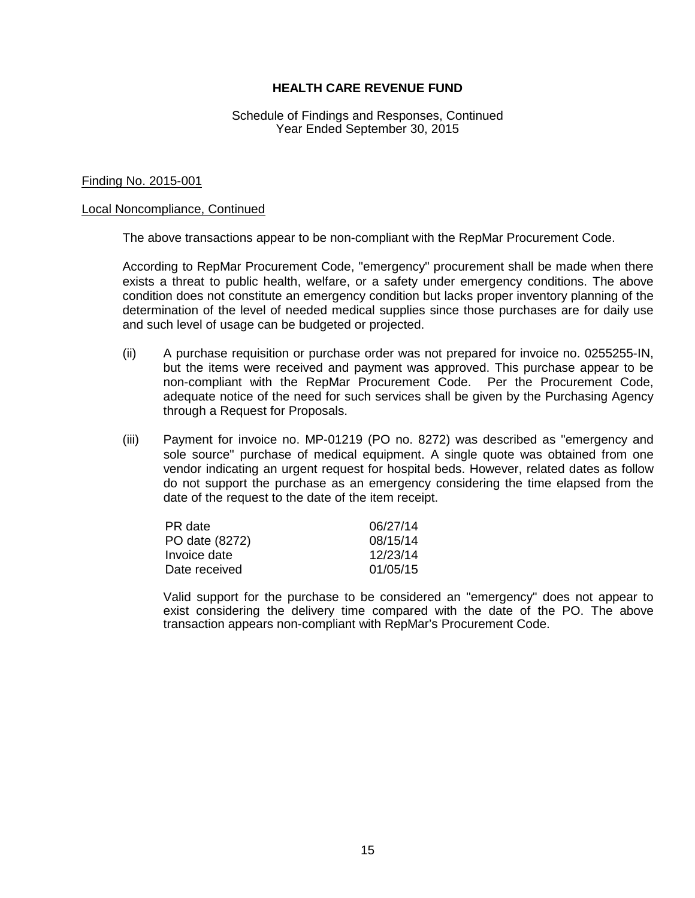# Schedule of Findings and Responses, Continued Year Ended September 30, 2015

#### Finding No. 2015-001

#### Local Noncompliance, Continued

The above transactions appear to be non-compliant with the RepMar Procurement Code.

According to RepMar Procurement Code, "emergency" procurement shall be made when there exists a threat to public health, welfare, or a safety under emergency conditions. The above condition does not constitute an emergency condition but lacks proper inventory planning of the determination of the level of needed medical supplies since those purchases are for daily use and such level of usage can be budgeted or projected.

- (ii) A purchase requisition or purchase order was not prepared for invoice no. 0255255-IN, but the items were received and payment was approved. This purchase appear to be non-compliant with the RepMar Procurement Code. Per the Procurement Code, adequate notice of the need for such services shall be given by the Purchasing Agency through a Request for Proposals.
- (iii) Payment for invoice no. MP-01219 (PO no. 8272) was described as "emergency and sole source" purchase of medical equipment. A single quote was obtained from one vendor indicating an urgent request for hospital beds. However, related dates as follow do not support the purchase as an emergency considering the time elapsed from the date of the request to the date of the item receipt.

| PR date        | 06/27/14 |
|----------------|----------|
| PO date (8272) | 08/15/14 |
| Invoice date   | 12/23/14 |
| Date received  | 01/05/15 |

Valid support for the purchase to be considered an "emergency" does not appear to exist considering the delivery time compared with the date of the PO. The above transaction appears non-compliant with RepMar's Procurement Code.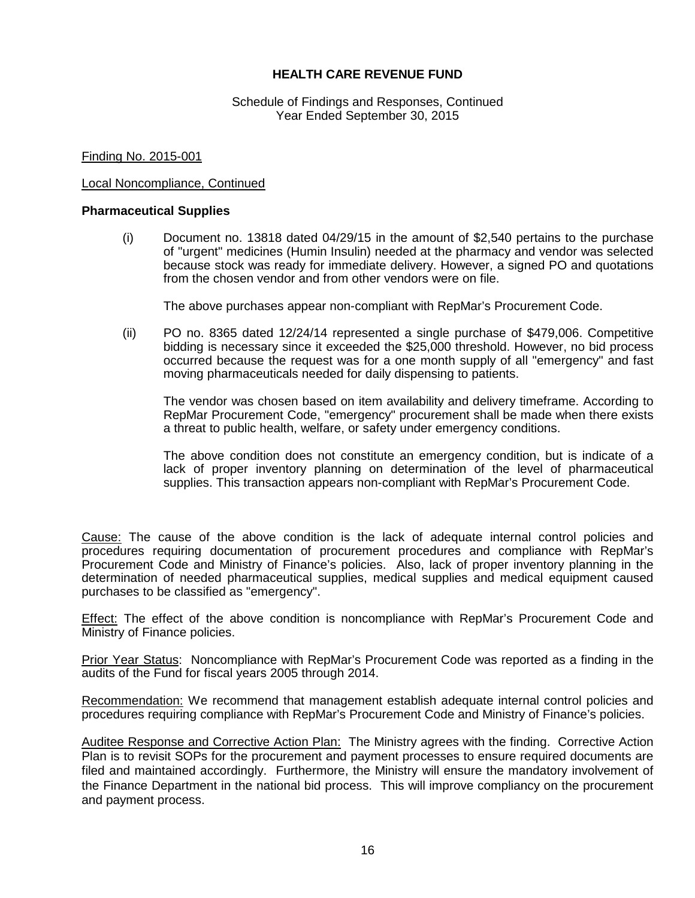# Schedule of Findings and Responses, Continued Year Ended September 30, 2015

### Finding No. 2015-001

# Local Noncompliance, Continued

#### **Pharmaceutical Supplies**

(i) Document no. 13818 dated 04/29/15 in the amount of \$2,540 pertains to the purchase of "urgent" medicines (Humin Insulin) needed at the pharmacy and vendor was selected because stock was ready for immediate delivery. However, a signed PO and quotations from the chosen vendor and from other vendors were on file.

The above purchases appear non-compliant with RepMar's Procurement Code.

(ii) PO no. 8365 dated 12/24/14 represented a single purchase of \$479,006. Competitive bidding is necessary since it exceeded the \$25,000 threshold. However, no bid process occurred because the request was for a one month supply of all "emergency" and fast moving pharmaceuticals needed for daily dispensing to patients.

The vendor was chosen based on item availability and delivery timeframe. According to RepMar Procurement Code, "emergency" procurement shall be made when there exists a threat to public health, welfare, or safety under emergency conditions.

The above condition does not constitute an emergency condition, but is indicate of a lack of proper inventory planning on determination of the level of pharmaceutical supplies. This transaction appears non-compliant with RepMar's Procurement Code.

Cause: The cause of the above condition is the lack of adequate internal control policies and procedures requiring documentation of procurement procedures and compliance with RepMar's Procurement Code and Ministry of Finance's policies. Also, lack of proper inventory planning in the determination of needed pharmaceutical supplies, medical supplies and medical equipment caused purchases to be classified as "emergency".

Effect: The effect of the above condition is noncompliance with RepMar's Procurement Code and Ministry of Finance policies.

Prior Year Status: Noncompliance with RepMar's Procurement Code was reported as a finding in the audits of the Fund for fiscal years 2005 through 2014.

Recommendation: We recommend that management establish adequate internal control policies and procedures requiring compliance with RepMar's Procurement Code and Ministry of Finance's policies.

Auditee Response and Corrective Action Plan: The Ministry agrees with the finding. Corrective Action Plan is to revisit SOPs for the procurement and payment processes to ensure required documents are filed and maintained accordingly. Furthermore, the Ministry will ensure the mandatory involvement of the Finance Department in the national bid process. This will improve compliancy on the procurement and payment process.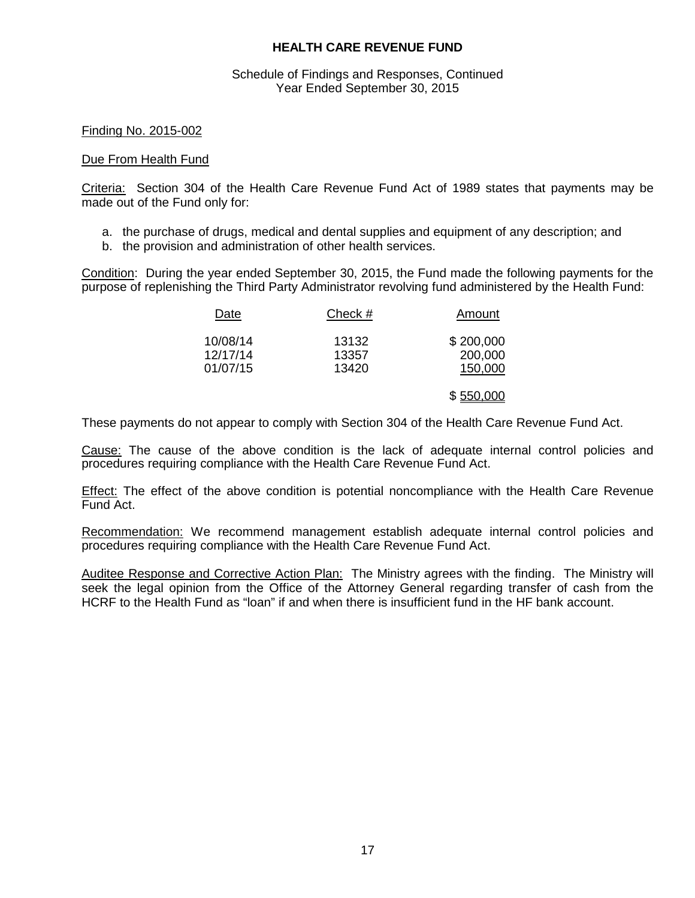### Schedule of Findings and Responses, Continued Year Ended September 30, 2015

# Finding No. 2015-002

#### Due From Health Fund

Criteria: Section 304 of the Health Care Revenue Fund Act of 1989 states that payments may be made out of the Fund only for:

- a. the purchase of drugs, medical and dental supplies and equipment of any description; and
- b. the provision and administration of other health services.

Condition: During the year ended September 30, 2015, the Fund made the following payments for the purpose of replenishing the Third Party Administrator revolving fund administered by the Health Fund:

| Date                             | Check #                 | Amount                          |
|----------------------------------|-------------------------|---------------------------------|
| 10/08/14<br>12/17/14<br>01/07/15 | 13132<br>13357<br>13420 | \$200,000<br>200,000<br>150,000 |
|                                  |                         | \$550,000                       |

These payments do not appear to comply with Section 304 of the Health Care Revenue Fund Act.

Cause: The cause of the above condition is the lack of adequate internal control policies and procedures requiring compliance with the Health Care Revenue Fund Act.

Effect: The effect of the above condition is potential noncompliance with the Health Care Revenue Fund Act.

Recommendation: We recommend management establish adequate internal control policies and procedures requiring compliance with the Health Care Revenue Fund Act.

Auditee Response and Corrective Action Plan: The Ministry agrees with the finding. The Ministry will seek the legal opinion from the Office of the Attorney General regarding transfer of cash from the HCRF to the Health Fund as "loan" if and when there is insufficient fund in the HF bank account.